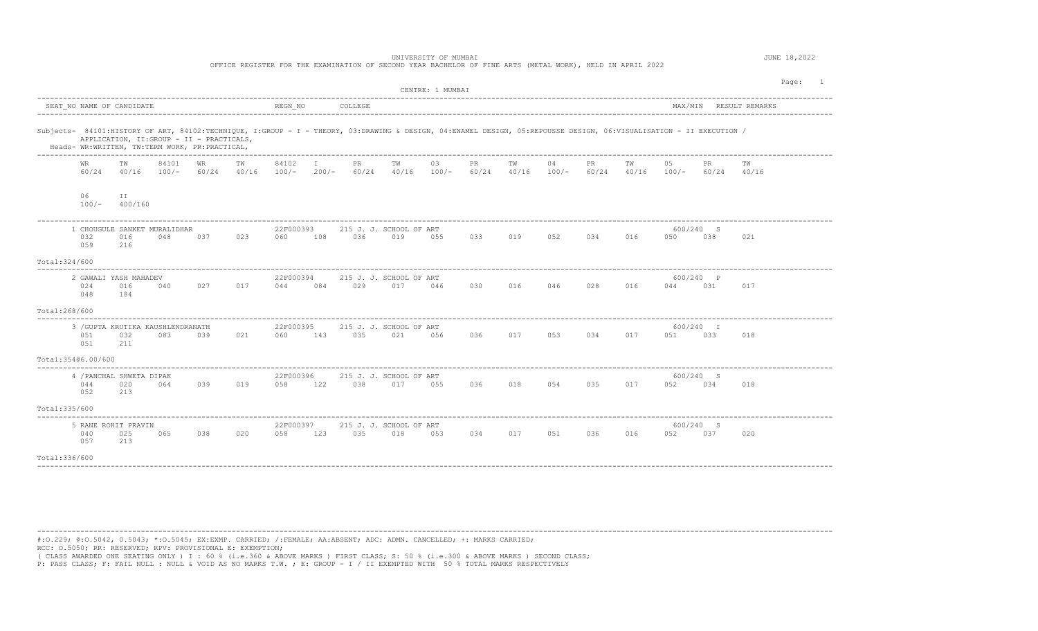| UNIVERSITY OF MUMBAI<br>OFFICE REGISTER FOR THE EXAMINATION OF SECOND YEAR BACHELOR OF FINE ARTS (METAL WORK), HELD IN APRIL 2022                                                                                                                                  |               |                                               |     |     |                  |                         |         |                                        |     |                     |             |               | JUNE 18,2022 |     |                                    |                  |                        |  |
|--------------------------------------------------------------------------------------------------------------------------------------------------------------------------------------------------------------------------------------------------------------------|---------------|-----------------------------------------------|-----|-----|------------------|-------------------------|---------|----------------------------------------|-----|---------------------|-------------|---------------|--------------|-----|------------------------------------|------------------|------------------------|--|
| CENTRE: 1 MUMBAI                                                                                                                                                                                                                                                   |               |                                               |     |     |                  |                         |         |                                        |     |                     |             |               |              |     | Page: 1                            |                  |                        |  |
| SEAT NO NAME OF CANDIDATE                                                                                                                                                                                                                                          |               |                                               |     |     | REGN NO          |                         | COLLEGE |                                        |     |                     |             |               |              |     |                                    |                  | MAX/MIN RESULT REMARKS |  |
| Subjects- 84101:HISTORY OF ART, 84102:TECHNIQUE, I:GROUP - I - THEORY, 03:DRAWING & DESIGN, 04:ENAMEL DESIGN, 05:REPOUSSE DESIGN, 06:VISUALISATION - II EXECUTION /<br>APPLICATION, II: GROUP - II - PRACTICALS,<br>Heads- WR:WRITTEN, TW:TERM WORK, PR:PRACTICAL, |               |                                               |     |     |                  |                         |         |                                        |     |                     |             |               |              |     |                                    |                  |                        |  |
| WR<br>60/24                                                                                                                                                                                                                                                        | TW            | 84101<br>$40/16$ $100/ 60/24$ $40/16$ $100/-$ | WR  | TW  | 84102            | $\mathbb{I}$<br>$200/-$ | PR      | TW<br>$60/24$ $40/16$ $100/-$          | 03  | PR<br>60/24         | TW<br>40/16 | 04<br>$100/-$ | PR           | тw  | 05<br>$60/24$ $40/16$ $100/ 60/24$ | PR.              | тw<br>40/16            |  |
| 06<br>$100/-$                                                                                                                                                                                                                                                      | ΙI<br>400/160 |                                               |     |     |                  |                         |         |                                        |     |                     |             |               |              |     |                                    |                  |                        |  |
| 1 CHOUGULE SANKET MURALIDHAR<br>032<br>059                                                                                                                                                                                                                         | 016<br>216    | 048                                           | 037 | 023 | 22F000393<br>060 | 108                     | 036 7   | 215 J. J. SCHOOL OF ART<br>019         | 055 | 033                 | 019         | 052           | 034          | 016 | 050                                | 600/240 S<br>038 | 021                    |  |
| Total: 324/600                                                                                                                                                                                                                                                     |               |                                               |     |     |                  |                         |         |                                        |     |                     |             |               |              |     |                                    |                  |                        |  |
| 2 GAWALI YASH MAHADEV<br>024<br>048                                                                                                                                                                                                                                | 016<br>184    | 040                                           | 027 | 017 | 22F000394<br>044 | 084                     | 029     | 215 J. J. SCHOOL OF ART<br>017         | 046 | 030 016 046         |             |               | 028          | 016 | 044                                | 600/240 P<br>031 | 017                    |  |
| Total:268/600                                                                                                                                                                                                                                                      |               |                                               |     |     |                  |                         |         |                                        |     |                     |             |               |              |     |                                    |                  |                        |  |
| 3 / GUPTA KRUTIKA KAUSHLENDRANATH<br>051<br>051                                                                                                                                                                                                                    | 032<br>211    | 083                                           | 039 | 021 | 22F000395<br>060 | 143                     | 035     | 215 J. J. SCHOOL OF ART<br>021         | 056 | 036 017 053 034 017 |             |               |              |     | 051 051                            | 600/240 I<br>033 | 018                    |  |
| Total: 35406.00/600                                                                                                                                                                                                                                                |               |                                               |     |     |                  |                         |         |                                        |     |                     |             |               |              |     |                                    |                  |                        |  |
| 4 / PANCHAL SHWETA DIPAK<br>044<br>052                                                                                                                                                                                                                             | 020<br>213    | 064                                           | 039 | 019 | 22F000396<br>058 | 122                     |         | 215 J. J. SCHOOL OF ART<br>038 017 055 |     | 036                 | 018         | 054           | 035          | 017 | 052                                | 600/240 S<br>034 | 018                    |  |
| Total: 335/600                                                                                                                                                                                                                                                     |               |                                               |     |     |                  |                         |         |                                        |     |                     |             |               |              |     |                                    |                  |                        |  |
| 5 RANE ROHIT PRAVIN<br>040<br>057                                                                                                                                                                                                                                  | 025<br>213    | 065                                           | 038 | 020 | 22F000397<br>058 | 123                     | 035     | 215 J. J. SCHOOL OF ART<br>018         | 053 | 034                 | 017         | 051           | 036          | 016 | 052                                | 600/240 S<br>037 | 020                    |  |
| Total: 336/600                                                                                                                                                                                                                                                     |               |                                               |     |     |                  |                         |         |                                        |     |                     |             |               |              |     |                                    |                  |                        |  |

---------------------------------------------------------------------------------------------------------------------------------------------------------------------------------------- #:O.229; @:O.5042, 0.5043; \*:O.5045; EX:EXMP. CARRIED; /:FEMALE; AA:ABSENT; ADC: ADMN. CANCELLED; +: MARKS CARRIED;

RCC: O.5050; RR: RESERVED; RPV: PROVISIONAL E: EXEMPTION;

( CLASS AWARDED ONE SEATING ONLY ) I : 60 % (i.e.360 & ABOVE MARKS ) FIRST CLASS; S: 50 % (i.e.300 & ABOVE MARKS ) SECOND CLASS;

P: PASS CLASS; F: FAIL NULL : NULL & VOID AS NO MARKS T.W. ; E: GROUP - I / II EXEMPTED WITH 50 % TOTAL MARKS RESPECTIVELY